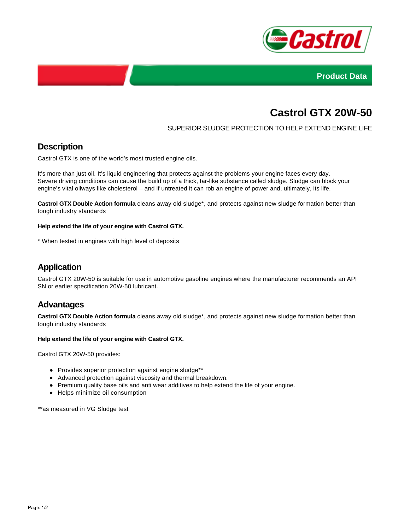



# **Castrol GTX 20W-50**

### SUPERIOR SLUDGE PROTECTION TO HELP EXTEND ENGINE LIFE

# **Description**

Castrol GTX is one of the world's most trusted engine oils.

It's more than just oil. It's liquid engineering that protects against the problems your engine faces every day. Severe driving conditions can cause the build up of a thick, tar-like substance called sludge. Sludge can block your engine's vital oilways like cholesterol – and if untreated it can rob an engine of power and, ultimately, its life.

**Castrol GTX Double Action formula** cleans away old sludge\*, and protects against new sludge formation better than tough industry standards

#### **Help extend the life of your engine with Castrol GTX.**

\* When tested in engines with high level of deposits

# **Application**

Castrol GTX 20W-50 is suitable for use in automotive gasoline engines where the manufacturer recommends an API SN or earlier specification 20W-50 lubricant.

## **Advantages**

**Castrol GTX Double Action formula** cleans away old sludge\*, and protects against new sludge formation better than tough industry standards

#### **Help extend the life of your engine with Castrol GTX.**

Castrol GTX 20W-50 provides:

- Provides superior protection against engine sludge\*\*
- Advanced protection against viscosity and thermal breakdown.
- Premium quality base oils and anti wear additives to help extend the life of your engine.
- Helps minimize oil consumption

\*\*as measured in VG Sludge test